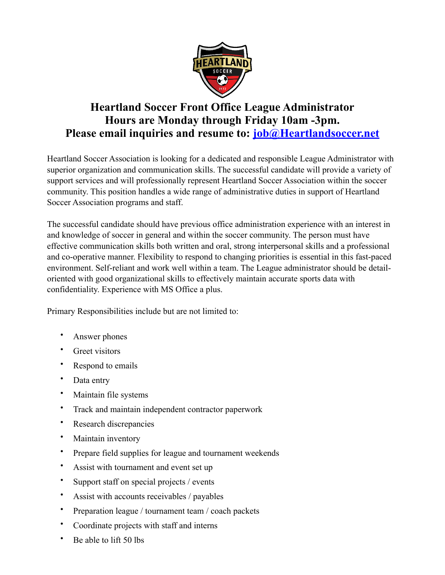

## **Heartland Soccer Front Office League Administrator Hours are Monday through Friday 10am -3pm. Please email inquiries and resume to: [job@Heartlandsoccer.net](mailto:job@Heartlandsoccer.net)**

Heartland Soccer Association is looking for a dedicated and responsible League Administrator with superior organization and communication skills. The successful candidate will provide a variety of support services and will professionally represent Heartland Soccer Association within the soccer community. This position handles a wide range of administrative duties in support of Heartland Soccer Association programs and staff.

The successful candidate should have previous office administration experience with an interest in and knowledge of soccer in general and within the soccer community. The person must have effective communication skills both written and oral, strong interpersonal skills and a professional and co-operative manner. Flexibility to respond to changing priorities is essential in this fast-paced environment. Self-reliant and work well within a team. The League administrator should be detailoriented with good organizational skills to effectively maintain accurate sports data with confidentiality. Experience with MS Office a plus.

Primary Responsibilities include but are not limited to:

- Answer phones
- Greet visitors
- Respond to emails
- Data entry
- Maintain file systems
- Track and maintain independent contractor paperwork
- Research discrepancies
- Maintain inventory
- Prepare field supplies for league and tournament weekends
- Assist with tournament and event set up
- Support staff on special projects / events
- Assist with accounts receivables / payables
- Preparation league / tournament team / coach packets
- Coordinate projects with staff and interns
- Be able to lift 50 lbs